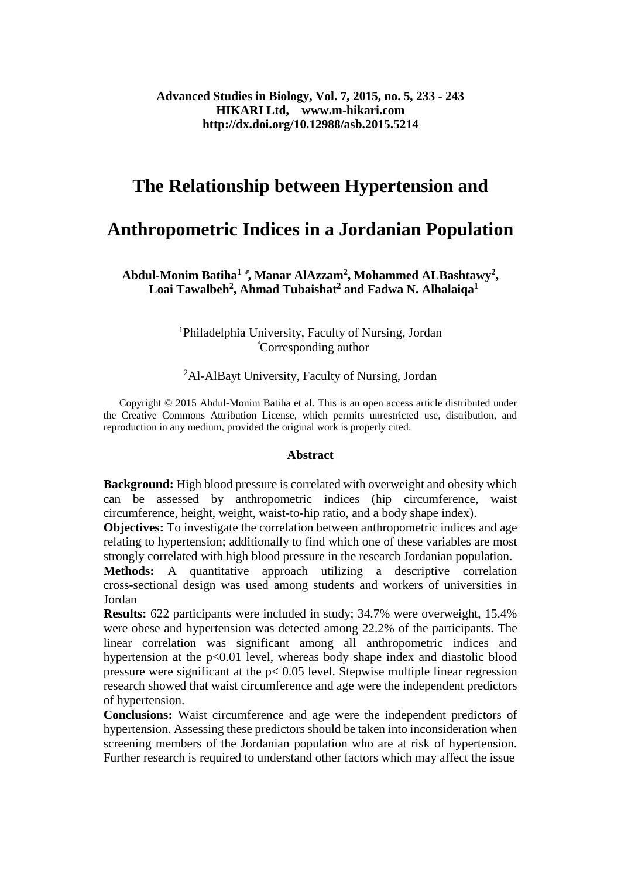# **The Relationship between Hypertension and**

# **Anthropometric Indices in a Jordanian Population**

**Abdul-Monim Batiha<sup>1</sup>٭, Manar AlAzzam<sup>2</sup> , Mohammed ALBashtawy<sup>2</sup> , Loai Tawalbeh<sup>2</sup> , Ahmad Tubaishat<sup>2</sup> and Fadwa N. Alhalaiqa<sup>1</sup>**

> <sup>1</sup>Philadelphia University, Faculty of Nursing, Jordan  **\***Corresponding author

<sup>2</sup>Al-AlBayt University, Faculty of Nursing, Jordan

 Copyright © 2015 Abdul-Monim Batiha et al. This is an open access article distributed under the Creative Commons Attribution License, which permits unrestricted use, distribution, and reproduction in any medium, provided the original work is properly cited.

#### **Abstract**

**Background:** High blood pressure is correlated with overweight and obesity which can be assessed by anthropometric indices (hip circumference, waist circumference, height, weight, waist-to-hip ratio, and a body shape index).

**Objectives:** To investigate the correlation between anthropometric indices and age relating to hypertension; additionally to find which one of these variables are most strongly correlated with high blood pressure in the research Jordanian population.

Methods: A quantitative approach utilizing a descriptive correlation cross-sectional design was used among students and workers of universities in Jordan

**Results:** 622 participants were included in study; 34.7% were overweight, 15.4% were obese and hypertension was detected among 22.2% of the participants. The linear correlation was significant among all anthropometric indices and hypertension at the  $p<0.01$  level, whereas body shape index and diastolic blood pressure were significant at the p< 0.05 level. Stepwise multiple linear regression research showed that waist circumference and age were the independent predictors of hypertension.

**Conclusions:** Waist circumference and age were the independent predictors of hypertension. Assessing these predictors should be taken into inconsideration when screening members of the Jordanian population who are at risk of hypertension. Further research is required to understand other factors which may affect the issue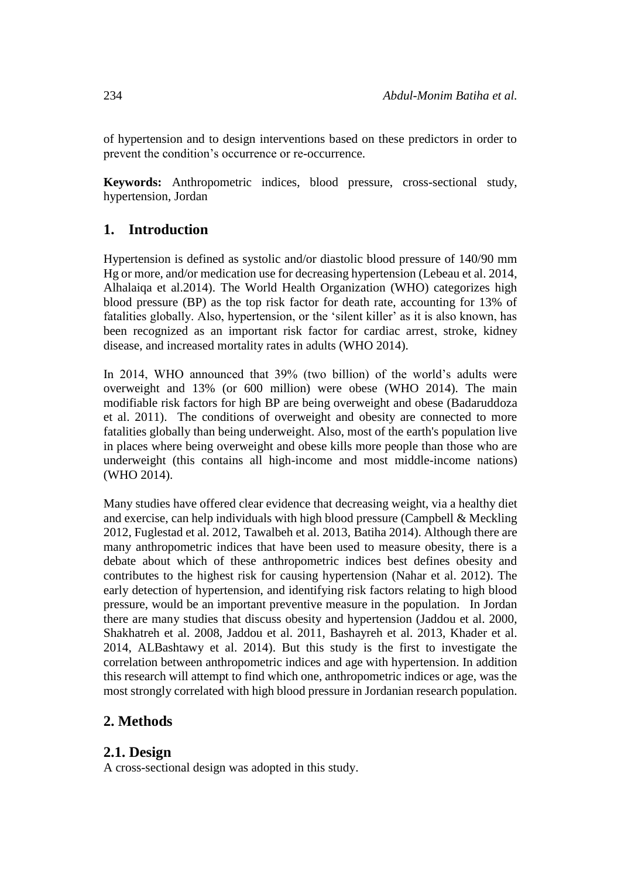of hypertension and to design interventions based on these predictors in order to prevent the condition's occurrence or re-occurrence.

**Keywords:** Anthropometric indices, blood pressure, cross-sectional study, hypertension, Jordan

# **1. Introduction**

Hypertension is defined as systolic and/or diastolic blood pressure of 140/90 mm Hg or more, and/or medication use for decreasing hypertension (Lebeau et al. 2014, Alhalaiqa et al.2014). The World Health Organization (WHO) categorizes high blood pressure (BP) as the top risk factor for death rate, accounting for 13% of fatalities globally. Also, hypertension, or the 'silent killer' as it is also known, has been recognized as an important risk factor for cardiac arrest, stroke, kidney disease, and increased mortality rates in adults (WHO 2014).

In 2014, WHO announced that 39% (two billion) of the world's adults were overweight and 13% (or 600 million) were obese (WHO 2014). The main modifiable risk factors for high BP are being overweight and obese (Badaruddoza et al. 2011). The conditions of overweight and obesity are connected to more fatalities globally than being underweight. Also, most of the earth's population live in places where being overweight and obese kills more people than those who are underweight (this contains all high-income and most middle-income nations) (WHO 2014).

Many studies have offered clear evidence that decreasing weight, via a healthy diet and exercise, can help individuals with high blood pressure (Campbell & Meckling 2012, Fuglestad et al. 2012, Tawalbeh et al. 2013, Batiha 2014). Although there are many anthropometric indices that have been used to measure obesity, there is a debate about which of these anthropometric indices best defines obesity and contributes to the highest risk for causing hypertension (Nahar et al. 2012). The early detection of hypertension, and identifying risk factors relating to high blood pressure, would be an important preventive measure in the population. In Jordan there are many studies that discuss obesity and hypertension (Jaddou et al. 2000, Shakhatreh et al. 2008, Jaddou et al. 2011, Bashayreh et al. 2013, Khader et al. 2014, ALBashtawy et al. 2014). But this study is the first to investigate the correlation between anthropometric indices and age with hypertension. In addition this research will attempt to find which one, anthropometric indices or age, was the most strongly correlated with high blood pressure in Jordanian research population.

# **2. Methods**

## **2.1. Design**

A cross-sectional design was adopted in this study.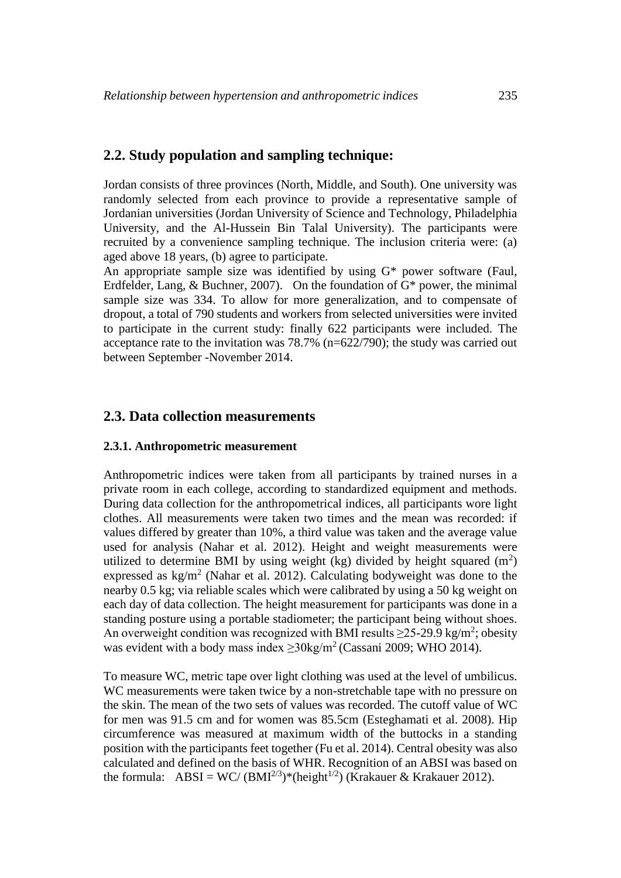## **2.2. Study population and sampling technique:**

Jordan consists of three provinces (North, Middle, and South). One university was randomly selected from each province to provide a representative sample of Jordanian universities (Jordan University of Science and Technology, Philadelphia University, and the Al-Hussein Bin Talal University). The participants were recruited by a convenience sampling technique. The inclusion criteria were: (a) aged above 18 years, (b) agree to participate.

An appropriate sample size was identified by using G\* power software (Faul, Erdfelder, Lang, & Buchner, 2007). On the foundation of  $G^*$  power, the minimal sample size was 334. To allow for more generalization, and to compensate of dropout, a total of 790 students and workers from selected universities were invited to participate in the current study: finally 622 participants were included. The acceptance rate to the invitation was 78.7% (n=622/790); the study was carried out between September -November 2014.

#### **2.3. Data collection measurements**

#### **2.3.1. Anthropometric measurement**

Anthropometric indices were taken from all participants by trained nurses in a private room in each college, according to standardized equipment and methods. During data collection for the anthropometrical indices, all participants wore light clothes. All measurements were taken two times and the mean was recorded: if values differed by greater than 10%, a third value was taken and the average value used for analysis (Nahar et al. 2012). Height and weight measurements were utilized to determine BMI by using weight (kg) divided by height squared  $(m^2)$ expressed as  $\text{kg/m}^2$  (Nahar et al. 2012). Calculating bodyweight was done to the nearby 0.5 kg; via reliable scales which were calibrated by using a 50 kg weight on each day of data collection. The height measurement for participants was done in a standing posture using a portable stadiometer; the participant being without shoes. An overweight condition was recognized with BMI results  $\geq$ 25-29.9 kg/m<sup>2</sup>; obesity was evident with a body mass index  $\geq 30 \text{kg/m}^2$  (Cassani 2009; WHO 2014).

To measure WC, metric tape over light clothing was used at the level of umbilicus. WC measurements were taken twice by a non-stretchable tape with no pressure on the skin. The mean of the two sets of values was recorded. The cutoff value of WC for men was 91.5 cm and for women was 85.5cm (Esteghamati et al. 2008). Hip circumference was measured at maximum width of the buttocks in a standing position with the participants feet together (Fu et al. 2014). Central obesity was also calculated and defined on the basis of WHR. Recognition of an ABSI was based on the formula:  $\text{ABSI} = \text{WC}/(\text{BMI}^{2/3})^*$ (height<sup>1/2</sup>) (Krakauer & Krakauer 2012).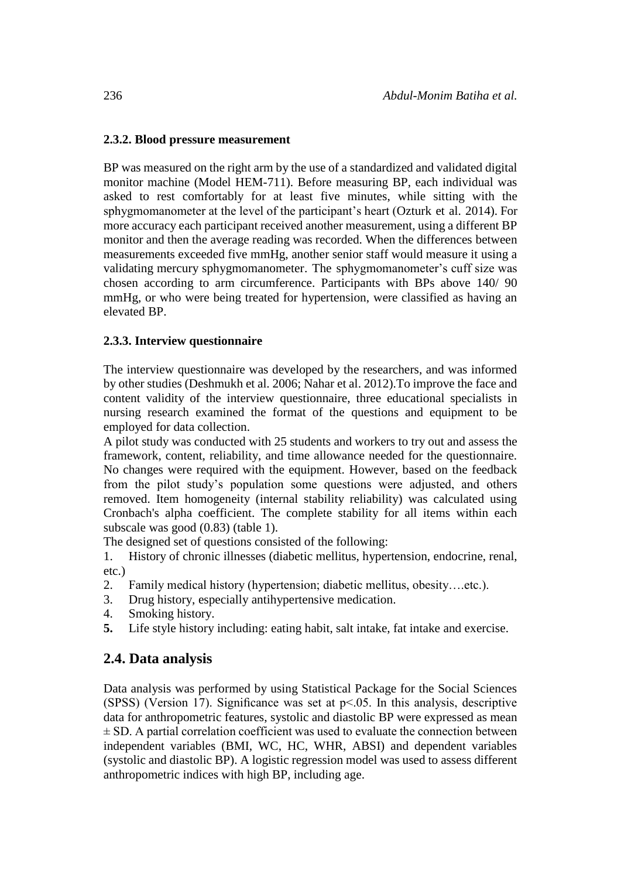#### **2.3.2. Blood pressure measurement**

BP was measured on the right arm by the use of a standardized and validated digital monitor machine (Model HEM-711). Before measuring BP, each individual was asked to rest comfortably for at least five minutes, while sitting with the sphygmomanometer at the level of the participant's heart (Ozturk et al. 2014). For more accuracy each participant received another measurement, using a different BP monitor and then the average reading was recorded. When the differences between measurements exceeded five mmHg, another senior staff would measure it using a validating mercury sphygmomanometer. The sphygmomanometer's cuff size was chosen according to arm circumference. Participants with BPs above 140/ 90 mmHg, or who were being treated for hypertension, were classified as having an elevated BP.

#### **2.3.3. Interview questionnaire**

The interview questionnaire was developed by the researchers, and was informed by other studies (Deshmukh et al. 2006; Nahar et al. 2012).To improve the face and content validity of the interview questionnaire, three educational specialists in nursing research examined the format of the questions and equipment to be employed for data collection.

A pilot study was conducted with 25 students and workers to try out and assess the framework, content, reliability, and time allowance needed for the questionnaire. No changes were required with the equipment. However, based on the feedback from the pilot study's population some questions were adjusted, and others removed. Item homogeneity (internal stability reliability) was calculated using Cronbach's alpha coefficient. The complete stability for all items within each subscale was good (0.83) (table 1).

The designed set of questions consisted of the following:

1. History of chronic illnesses (diabetic mellitus, hypertension, endocrine, renal, etc.)

- 2. Family medical history (hypertension; diabetic mellitus, obesity….etc.).
- 3. Drug history, especially antihypertensive medication.
- 4. Smoking history.
- **5.** Life style history including: eating habit, salt intake, fat intake and exercise.

## **2.4. Data analysis**

Data analysis was performed by using Statistical Package for the Social Sciences (SPSS) (Version 17). Significance was set at  $p<0.05$ . In this analysis, descriptive data for anthropometric features, systolic and diastolic BP were expressed as mean  $\pm$  SD. A partial correlation coefficient was used to evaluate the connection between independent variables (BMI, WC, HC, WHR, ABSI) and dependent variables (systolic and diastolic BP). A logistic regression model was used to assess different anthropometric indices with high BP, including age.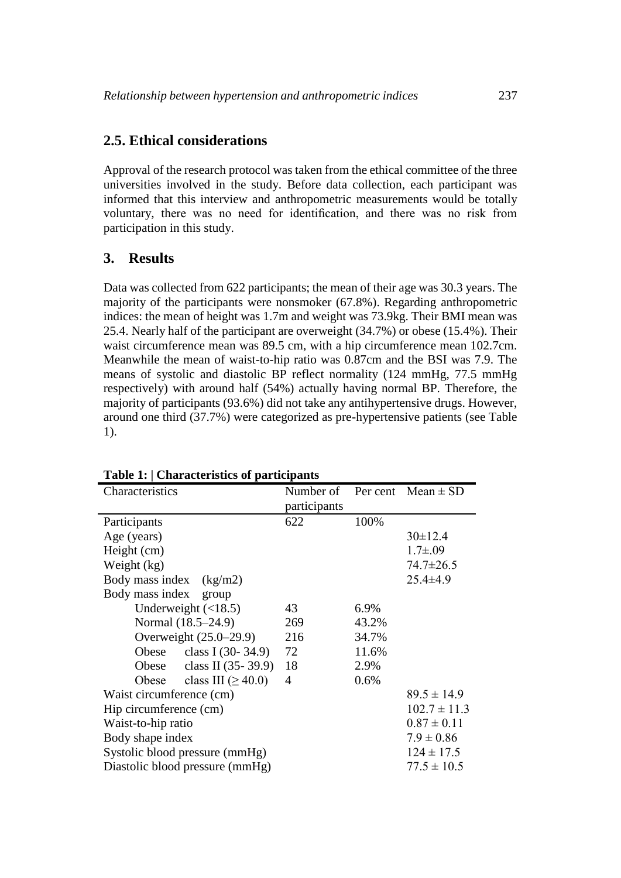## **2.5. Ethical considerations**

Approval of the research protocol was taken from the ethical committee of the three universities involved in the study. Before data collection, each participant was informed that this interview and anthropometric measurements would be totally voluntary, there was no need for identification, and there was no risk from participation in this study.

# **3. Results**

Data was collected from 622 participants; the mean of their age was 30.3 years. The majority of the participants were nonsmoker (67.8%). Regarding anthropometric indices: the mean of height was 1.7m and weight was 73.9kg. Their BMI mean was 25.4. Nearly half of the participant are overweight (34.7%) or obese (15.4%). Their waist circumference mean was 89.5 cm, with a hip circumference mean 102.7cm. Meanwhile the mean of waist-to-hip ratio was 0.87cm and the BSI was 7.9. The means of systolic and diastolic BP reflect normality (124 mmHg, 77.5 mmHg respectively) with around half (54%) actually having normal BP. Therefore, the majority of participants (93.6%) did not take any antihypertensive drugs. However, around one third (37.7%) were categorized as pre-hypertensive patients (see Table 1).

| Characteristics                 | Number of    |       | Per cent $Mean \pm SD$ |
|---------------------------------|--------------|-------|------------------------|
|                                 | participants |       |                        |
| Participants                    | 622          | 100%  |                        |
| Age (years)                     |              |       | $30 \pm 12.4$          |
| Height (cm)                     |              |       | $1.7 \pm .09$          |
| Weight (kg)                     |              |       | $74.7 \pm 26.5$        |
| Body mass index<br>(kg/m2)      |              |       | $25.4 \pm 4.9$         |
| Body mass index<br>group        |              |       |                        |
| Underweight $(\langle 18.5)$    | 43           | 6.9%  |                        |
| Normal (18.5–24.9)              | 269          | 43.2% |                        |
| Overweight (25.0–29.9)          | 216          | 34.7% |                        |
| Obese class I $(30-34.9)$       | 72           | 11.6% |                        |
| Obese class II $(35-39.9)$      | 18           | 2.9%  |                        |
| Obese class III $(\geq 40.0)$   | 4            | 0.6%  |                        |
| Waist circumference (cm)        |              |       | $89.5 \pm 14.9$        |
| Hip circumference (cm)          |              |       | $102.7 \pm 11.3$       |
| Waist-to-hip ratio              |              |       | $0.87 \pm 0.11$        |
| Body shape index                |              |       | $7.9 \pm 0.86$         |
| Systolic blood pressure (mmHg)  |              |       | $124 \pm 17.5$         |
| Diastolic blood pressure (mmHg) |              |       | $77.5 \pm 10.5$        |

#### **Table 1: | Characteristics of participants**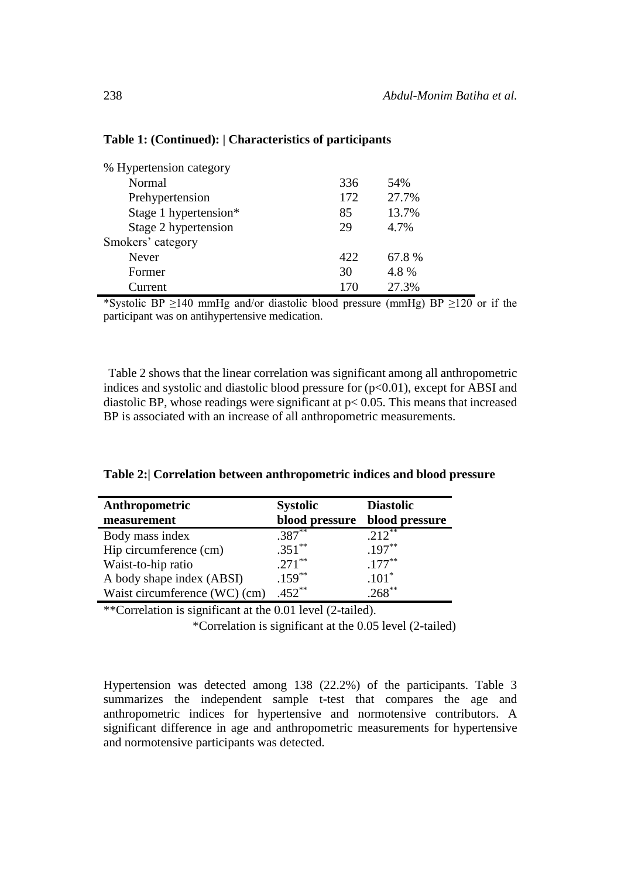| % Hypertension category |     |       |
|-------------------------|-----|-------|
| Normal                  | 336 | 54%   |
| Prehypertension         | 172 | 27.7% |
| Stage 1 hypertension*   | 85  | 13.7% |
| Stage 2 hypertension    | 29  | 4.7%  |
| Smokers' category       |     |       |
| Never                   | 422 | 67.8% |
| Former                  | 30  | 4.8%  |
| durrent.                | 170 | 27.3% |

#### **Table 1: (Continued): | Characteristics of participants**

\*Systolic BP  $\geq$ 140 mmHg and/or diastolic blood pressure (mmHg) BP  $\geq$ 120 or if the participant was on antihypertensive medication.

Table 2 shows that the linear correlation was significant among all anthropometric indices and systolic and diastolic blood pressure for  $(p<0.01)$ , except for ABSI and diastolic BP, whose readings were significant at p< 0.05. This means that increased BP is associated with an increase of all anthropometric measurements.

**Table 2:| Correlation between anthropometric indices and blood pressure**

| Anthropometric                | <b>Systolic</b> | <b>Diastolic</b> |
|-------------------------------|-----------------|------------------|
| measurement                   | blood pressure  | blood pressure   |
| Body mass index               | $.387***$       | $212^{**}$       |
| Hip circumference (cm)        | $.351***$       | $.197***$        |
| Waist-to-hip ratio            | $.271***$       | $.177***$        |
| A body shape index (ABSI)     | $.159***$       | $.101*$          |
| Waist circumference (WC) (cm) | $.452***$       | $268^{**}$       |

\*\*Correlation is significant at the 0.01 level (2-tailed).

\*Correlation is significant at the 0.05 level (2-tailed)

Hypertension was detected among 138 (22.2%) of the participants. Table 3 summarizes the independent sample t-test that compares the age and anthropometric indices for hypertensive and normotensive contributors. A significant difference in age and anthropometric measurements for hypertensive and normotensive participants was detected.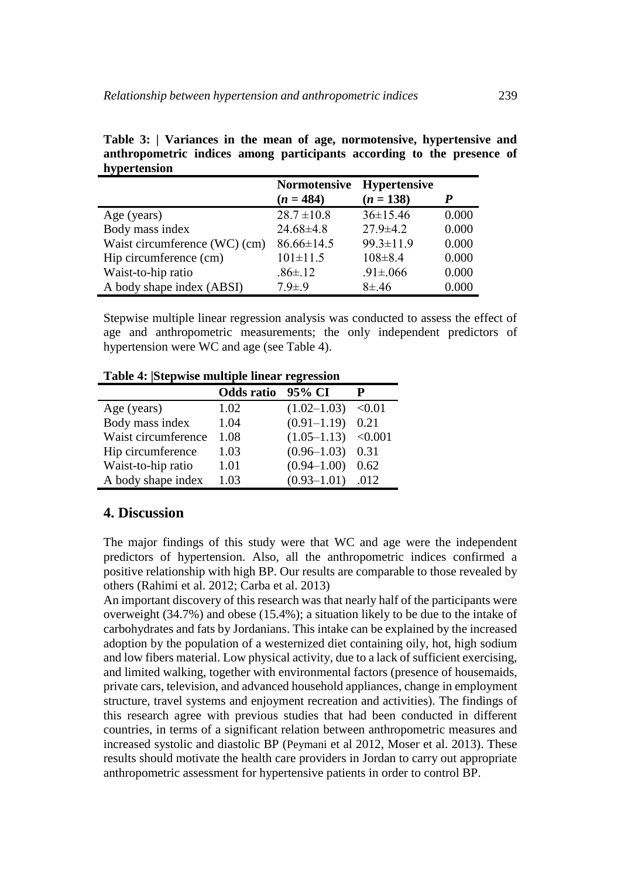| $\mathbf{a}$ , por vermonder  |                     |                     |       |
|-------------------------------|---------------------|---------------------|-------|
|                               | <b>Normotensive</b> | <b>Hypertensive</b> |       |
|                               | $(n = 484)$         | $(n = 138)$         | P     |
| Age (years)                   | $28.7 \pm 10.8$     | $36 \pm 15.46$      | 0.000 |
| Body mass index               | $24.68\pm4.8$       | $27.9 \pm 4.2$      | 0.000 |
| Waist circumference (WC) (cm) | $86.66 \pm 14.5$    | $99.3 \pm 11.9$     | 0.000 |
| Hip circumference (cm)        | $101 \pm 11.5$      | $108 \pm 8.4$       | 0.000 |
| Waist-to-hip ratio            | $.86{\pm}.12$       | $.91 \pm 0.066$     | 0.000 |
| A body shape index (ABSI)     | $7.9 \pm .9$        | $8 + 46$            | 0.000 |

**Table 3: | Variances in the mean of age, normotensive, hypertensive and anthropometric indices among participants according to the presence of hypertension**

Stepwise multiple linear regression analysis was conducted to assess the effect of age and anthropometric measurements; the only independent predictors of hypertension were WC and age (see Table 4).

**Table 4: |Stepwise multiple linear regression** 

|                     | <b>Odds</b> ratio | 95% CI                |        |
|---------------------|-------------------|-----------------------|--------|
| Age (years)         | 1.02              | $(1.02 - 1.03)$       | < 0.01 |
| Body mass index     | 1.04              | $(0.91 - 1.19)$       | 0.21   |
| Waist circumference | 1.08              | $(1.05-1.13)$ < 0.001 |        |
| Hip circumference   | 1.03              | $(0.96 - 1.03)$       | 0.31   |
| Waist-to-hip ratio  | 1.01              | $(0.94 - 1.00)$       | 0.62   |
| A body shape index  | 1.03              | $(0.93 - 1.01)$       | .012   |

# **4. Discussion**

The major findings of this study were that WC and age were the independent predictors of hypertension. Also, all the anthropometric indices confirmed a positive relationship with high BP. Our results are comparable to those revealed by others (Rahimi et al. 2012; Carba et al. 2013)

An important discovery of this research was that nearly half of the participants were overweight (34.7%) and obese (15.4%); a situation likely to be due to the intake of carbohydrates and fats by Jordanians. This intake can be explained by the increased adoption by the population of a westernized diet containing oily, hot, high sodium and low fibers material. Low physical activity, due to a lack of sufficient exercising, and limited walking, together with environmental factors (presence of housemaids, private cars, television, and advanced household appliances, change in employment structure, travel systems and enjoyment recreation and activities). The findings of this research agree with previous studies that had been conducted in different countries, in terms of a significant relation between anthropometric measures and increased systolic and diastolic BP (Peymani et al 2012, Moser et al. 2013). These results should motivate the health care providers in Jordan to carry out appropriate anthropometric assessment for hypertensive patients in order to control BP.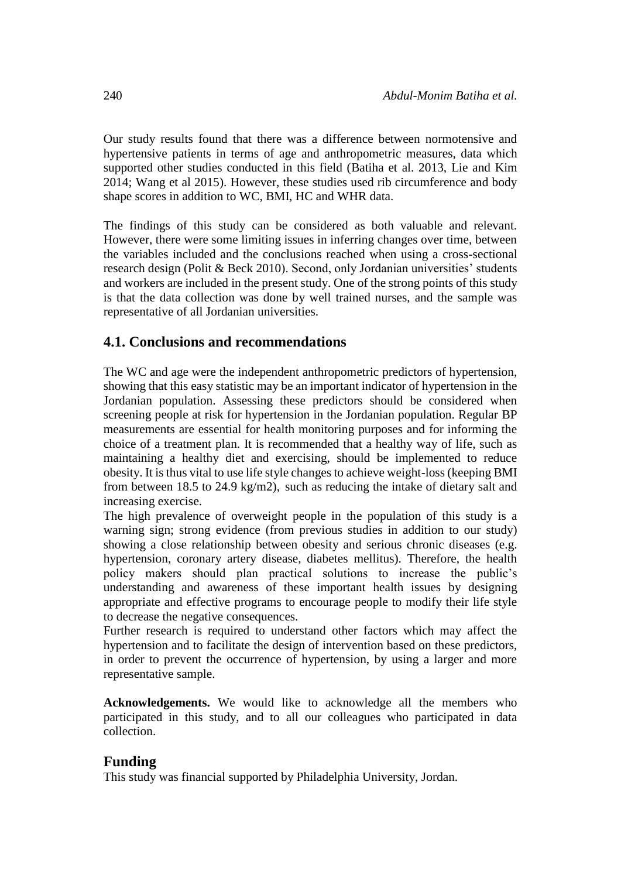Our study results found that there was a difference between normotensive and hypertensive patients in terms of age and anthropometric measures, data which supported other studies conducted in this field (Batiha et al. 2013, Lie and Kim 2014; Wang et al 2015). However, these studies used rib circumference and body shape scores in addition to WC, BMI, HC and WHR data.

The findings of this study can be considered as both valuable and relevant. However, there were some limiting issues in inferring changes over time, between the variables included and the conclusions reached when using a cross-sectional research design (Polit & Beck 2010). Second, only Jordanian universities' students and workers are included in the present study. One of the strong points of this study is that the data collection was done by well trained nurses, and the sample was representative of all Jordanian universities.

# **4.1. Conclusions and recommendations**

The WC and age were the independent anthropometric predictors of hypertension, showing that this easy statistic may be an important indicator of hypertension in the Jordanian population. Assessing these predictors should be considered when screening people at risk for hypertension in the Jordanian population. Regular BP measurements are essential for health monitoring purposes and for informing the choice of a treatment plan. It is recommended that a healthy way of life, such as maintaining a healthy diet and exercising, should be implemented to reduce obesity. It is thus vital to use life style changes to achieve weight-loss (keeping BMI from between 18.5 to 24.9 kg/m2), such as reducing the intake of dietary salt and increasing exercise.

The high prevalence of overweight people in the population of this study is a warning sign; strong evidence (from previous studies in addition to our study) showing a close relationship between obesity and serious chronic diseases (e.g. hypertension, coronary artery disease, diabetes mellitus). Therefore, the health policy makers should plan practical solutions to increase the public's understanding and awareness of these important health issues by designing appropriate and effective programs to encourage people to modify their life style to decrease the negative consequences.

Further research is required to understand other factors which may affect the hypertension and to facilitate the design of intervention based on these predictors, in order to prevent the occurrence of hypertension, by using a larger and more representative sample.

**Acknowledgements.** We would like to acknowledge all the members who participated in this study, and to all our colleagues who participated in data collection.

## **Funding**

This study was financial supported by Philadelphia University, Jordan.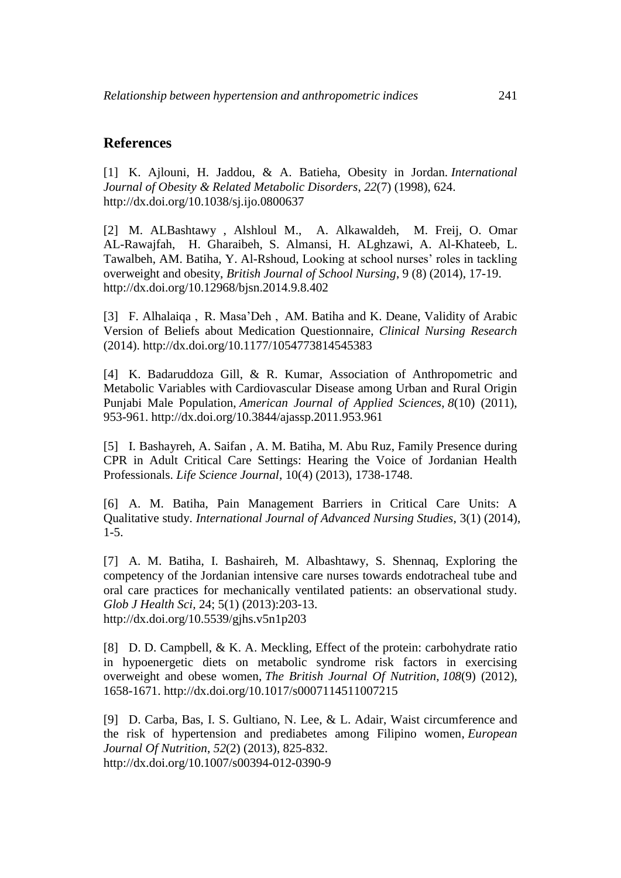## **References**

[1] K. Ajlouni, H. Jaddou, & A. Batieha, Obesity in Jordan. *International Journal of Obesity & Related Metabolic Disorders*, *22*(7) (1998), 624. <http://dx.doi.org/10.1038/sj.ijo.0800637>

[2] M. ALBashtawy , Alshloul M., A. Alkawaldeh, M. Freij, O. Omar AL-Rawajfah, H. Gharaibeh, S. Almansi, H. ALghzawi, A. Al-Khateeb, L. Tawalbeh, AM. Batiha, Y. Al-Rshoud, Looking at school nurses' roles in tackling overweight and obesity, *British Journal of School Nursing*, 9 (8) (2014), 17-19. <http://dx.doi.org/10.12968/bjsn.2014.9.8.402>

[3] F. Alhalaiqa , R. Masa'Deh , AM. Batiha and K. Deane, Validity of Arabic Version of Beliefs about Medication Questionnaire, *Clinical Nursing Research* (2014). <http://dx.doi.org/10.1177/1054773814545383>

[4] K. Badaruddoza Gill, & R. Kumar, Association of Anthropometric and Metabolic Variables with Cardiovascular Disease among Urban and Rural Origin Punjabi Male Population, *American Journal of Applied Sciences*, *8*(10) (2011), 953-961. <http://dx.doi.org/10.3844/ajassp.2011.953.961>

[5] I. Bashayreh, A. Saifan , A. M. Batiha, M. Abu Ruz, Family Presence during CPR in Adult Critical Care Settings: Hearing the Voice of Jordanian Health Professionals. *Life Science Journal*, 10(4) (2013), 1738-1748.

[6] A. M. Batiha, Pain Management Barriers in Critical Care Units: A Qualitative study. *International Journal of Advanced Nursing Studies*, 3(1) (2014), 1-5.

[7] A. M. Batiha, I. Bashaireh, M. Albashtawy, S. Shennaq, Exploring the competency of the Jordanian intensive care nurses towards endotracheal tube and oral care practices for mechanically ventilated patients: an observational study. *Glob J Health Sci,* 24; 5(1) (2013):203-13. <http://dx.doi.org/10.5539/gjhs.v5n1p203>

[8] D. D. Campbell, & K. A. Meckling, Effect of the protein: carbohydrate ratio in hypoenergetic diets on metabolic syndrome risk factors in exercising overweight and obese women, *The British Journal Of Nutrition*, *108*(9) (2012), 1658-1671.<http://dx.doi.org/10.1017/s0007114511007215>

[9] D. Carba, Bas, I. S. Gultiano, N. Lee, & L. Adair, Waist circumference and the risk of hypertension and prediabetes among Filipino women, *European Journal Of Nutrition*, *52*(2) (2013), 825-832. <http://dx.doi.org/10.1007/s00394-012-0390-9>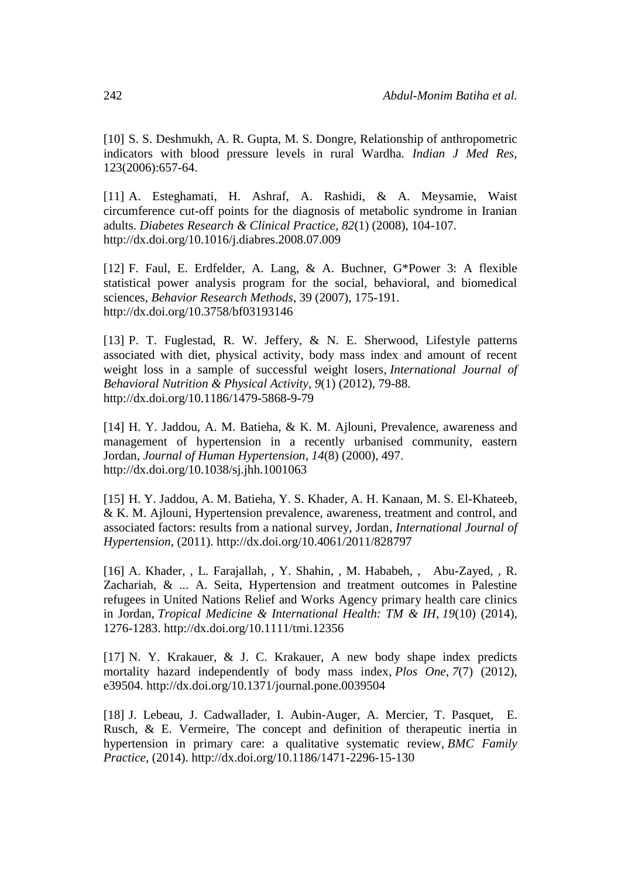[10] S. S. Deshmukh, A. R. Gupta, M. S. Dongre, Relationship of anthropometric indicators with blood pressure levels in rural Wardha. *Indian J Med Res*, 123(2006):657-64.

[11] A. Esteghamati, H. Ashraf, A. Rashidi, & A. Meysamie, Waist circumference cut-off points for the diagnosis of metabolic syndrome in Iranian adults. *Diabetes Research & Clinical Practice*, *82*(1) (2008), 104-107. <http://dx.doi.org/10.1016/j.diabres.2008.07.009>

[12] F. Faul, E. Erdfelder, A. Lang, & A. Buchner, G\*Power 3: A flexible statistical power analysis program for the social, behavioral, and biomedical sciences, *Behavior Research Methods*, 39 (2007), 175-191. <http://dx.doi.org/10.3758/bf03193146>

[13] P. T. Fuglestad, R. W. Jeffery, & N. E. Sherwood, Lifestyle patterns associated with diet, physical activity, body mass index and amount of recent weight loss in a sample of successful weight losers, *International Journal of Behavioral Nutrition & Physical Activity*, *9*(1) (2012), 79-88. <http://dx.doi.org/10.1186/1479-5868-9-79>

[14] H. Y. Jaddou, A. M. Batieha, & K. M. Ajlouni, Prevalence, awareness and management of hypertension in a recently urbanised community, eastern Jordan, *Journal of Human Hypertension*, *14*(8) (2000), 497. <http://dx.doi.org/10.1038/sj.jhh.1001063>

[15] H. Y. Jaddou, A. M. Batieha, Y. S. Khader, A. H. Kanaan, M. S. El-Khateeb, & K. M. Ajlouni, Hypertension prevalence, awareness, treatment and control, and associated factors: results from a national survey, Jordan, *International Journal of Hypertension*, (2011).<http://dx.doi.org/10.4061/2011/828797>

[16] A. Khader, , L. Farajallah, , Y. Shahin, , M. Hababeh, , Abu-Zayed, , R. Zachariah, & ... A. Seita, Hypertension and treatment outcomes in Palestine refugees in United Nations Relief and Works Agency primary health care clinics in Jordan, *Tropical Medicine & International Health: TM & IH*, *19*(10) (2014), 1276-1283.<http://dx.doi.org/10.1111/tmi.12356>

[17] N. Y. Krakauer, & J. C. Krakauer, A new body shape index predicts mortality hazard independently of body mass index, *Plos One*, *7*(7) (2012), e39504.<http://dx.doi.org/10.1371/journal.pone.0039504>

[18] J. Lebeau, J. Cadwallader, I. Aubin-Auger, A. Mercier, T. Pasquet, E. Rusch, & E. Vermeire, The concept and definition of therapeutic inertia in hypertension in primary care: a qualitative systematic review, *BMC Family Practice*, (2014).<http://dx.doi.org/10.1186/1471-2296-15-130>